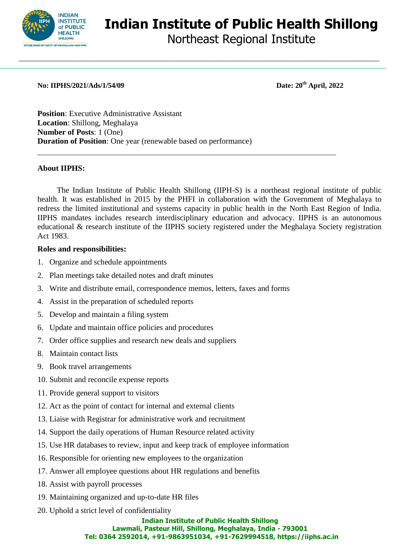

# **Indian Institute of Public Health Shillong**

Northeast Regional Institute

**No: IIPHS/2021/Ads/1/54/09 Date: 20th April, 2022**

**Position**: Executive Administrative Assistant **Location**: Shillong, Meghalaya **Number of Posts**: 1 (One) **Duration of Position**: One year (renewable based on performance)

# **About IIPHS:**

The Indian Institute of Public Health Shillong (IIPH-S) is a northeast regional institute of public health. It was established in 2015 by the PHFI in collaboration with the Government of Meghalaya to redress the limited institutional and systems capacity in public health in the North East Region of India. IIPHS mandates includes research interdisciplinary education and advocacy. IIPHS is an autonomous educational & research institute of the IIPHS society registered under the Meghalaya Society registration Act 1983.

\_\_\_\_\_\_\_\_\_\_\_\_\_\_\_\_\_\_\_\_\_\_\_\_\_\_\_\_\_\_\_\_\_\_\_\_\_\_\_\_\_\_\_\_\_\_\_\_\_\_\_\_\_\_\_\_\_\_\_\_\_\_\_\_\_\_\_\_\_\_\_\_\_\_\_\_\_\_\_\_\_\_\_\_\_\_\_\_\_\_\_\_\_\_\_\_\_\_\_

# **Roles and responsibilities:**

- 1. Organize and schedule appointments
- 2. Plan meetings take detailed notes and draft minutes
- 3. Write and distribute email, correspondence memos, letters, faxes and forms
- 4. Assist in the preparation of scheduled reports
- 5. Develop and maintain a filing system
- 6. Update and maintain office policies and procedures
- 7. Order office supplies and research new deals and suppliers
- 8. Maintain contact lists
- 9. Book travel arrangements
- 10. Submit and reconcile expense reports
- 11. Provide general support to visitors
- 12. Act as the point of contact for internal and external clients
- 13. Liaise with Registrar for administrative work and recruitment
- 14. Support the daily operations of Human Resource related activity
- 15. Use HR databases to review, input and keep track of employee information
- 16. Responsible for orienting new employees to the organization
- 17. Answer all employee questions about HR regulations and benefits
- 18. Assist with payroll processes
- 19. Maintaining organized and up-to-date HR files
- 20. Uphold a strict level of confidentiality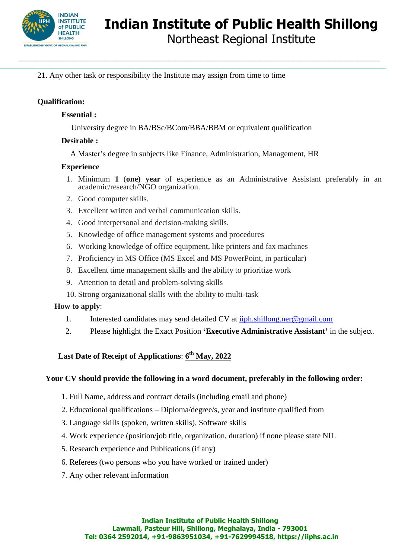

**Indian Institute of Public Health Shillong**

Northeast Regional Institute

21. Any other task or responsibility the Institute may assign from time to time

# **Qualification:**

# **Essential :**

University degree in BA/BSc/BCom/BBA/BBM or equivalent qualification

\_\_\_\_\_\_\_\_\_\_\_\_\_\_\_\_\_\_\_\_\_\_\_\_\_\_\_\_\_\_\_\_\_\_\_\_\_\_\_\_\_\_\_\_\_\_\_\_\_\_\_\_\_\_\_\_\_\_\_\_\_\_\_\_\_\_\_\_\_\_\_\_\_\_\_\_\_\_\_\_\_\_\_\_\_\_\_\_\_\_\_\_\_\_\_\_\_\_\_

#### **Desirable :**

A Master's degree in subjects like Finance, Administration, Management, HR

#### **Experience**

- 1. Minimum **1** (**one) year** of experience as an Administrative Assistant preferably in an academic/research/NGO organization.
- 2. Good computer skills.
- 3. Excellent written and verbal communication skills.
- 4. Good interpersonal and decision-making skills.
- 5. Knowledge of office management systems and procedures
- 6. Working knowledge of office equipment, like printers and fax machines
- 7. Proficiency in MS Office (MS Excel and MS PowerPoint, in particular)
- 8. Excellent time management skills and the ability to prioritize work
- 9. Attention to detail and problem-solving skills
- 10. Strong organizational skills with the ability to multi-task

# **How to apply**:

- 1. Interested candidates may send detailed CV at [iiph.shillong.ner@gmail.com](mailto:iiph.shillong.ner@gmail.com)
- 2. Please highlight the Exact Position **'Executive Administrative Assistant'** in the subject.

# **Last Date of Receipt of Applications**: **6 th May, 2022**

# **Your CV should provide the following in a word document, preferably in the following order:**

- 1. Full Name, address and contract details (including email and phone)
- 2. Educational qualifications Diploma/degree/s, year and institute qualified from
- 3. Language skills (spoken, written skills), Software skills
- 4. Work experience (position/job title, organization, duration) if none please state NIL
- 5. Research experience and Publications (if any)
- 6. Referees (two persons who you have worked or trained under)
- 7. Any other relevant information